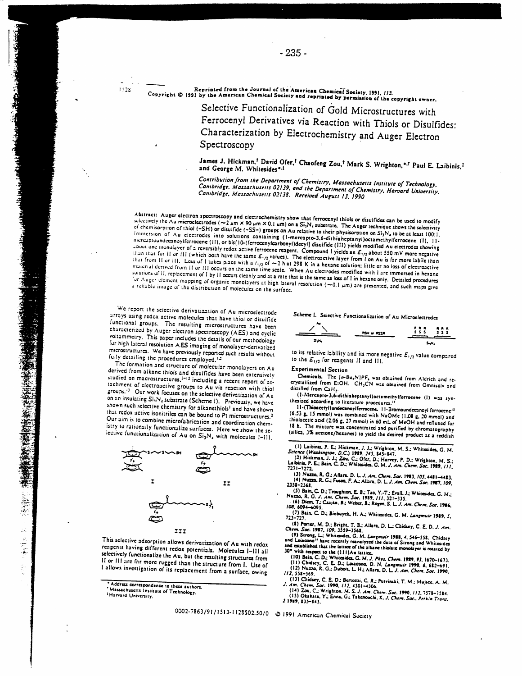$1128$ 

Reprinted from the Journal of the American Chemical Society, 1991, 113. Reprinted from the overant of the chartican changinal Society, 1991, 113.<br>Copyright © 1991 by the American Chemical Society and reprinted by permission of the copyright owner.

Selective Functionalization of Gold Microstructures with Ferrocenyl Derivatives via Reaction with Thiols or Disulfides: Characterization by Electrochemistry and Auger Electron

## Spectroscopy

James J. Hickman,<sup>†</sup> David Ofer,<sup>†</sup> Chaofeng Zou,<sup>†</sup> Mark S. Wrighton,<sup>\*,†</sup> Paul E. Laibinis,<sup>†</sup> and George M. Whitesides\*-1

Contribution from the Department of Chemistry, Massachusetts Institute of Technology, Combridge, Massachusetts 02139, and the Department of Chemistry, Harvard University, Cambridge, Massachusetts 02138. Received August 13, 1990

Abstract: Auger electron spectroscopy and electrochemistry show that ferrocenyl thiols or disulfides can be used to modify Abstract, ruggly steering spectroscopy and electronically and the constraint. The Auger technique shows the selectivity selectivity of chemisorption of thiol  $(-SH)$  or disulfide  $(-SS-)$  groups on Au relative to their physisorption on  $Si_1N_a$  to be at least 100:1. Immersion of Au clectrodes into solutions containing (1-mercapto-3.6-dithiaheptanyl)octamethylferrocene (1), 11intercaptoundecanoylferrocene (II), or bis [10-(ferrocenylcarbonyl)decyl] disulfide (III) yields modified Au electrodes showing about one monolayer of a reversibly redox active ferrocene reagent. Compound I yields an E<sub>1/2</sub> about 550 mV more negative than that for II or III (which both have the same  $E_{1/2}$  values). The electroactive layer from I on Au is far more labile than that from 11 or 111. Loss of 1 takes place with a  $t_{1/2}$  of  $\sim$  2 h at 298 K in a hexane solution; little or no loss of electroactive material derived from 11 or 111 occurs on the same time scale. When Au electrodes modified with I are immersed in hexane solutions of II, replacement of I by II occurs cleanly and at a rate that is the same as loss of I in hexane only. Detailed procedures for Auger element mapping of organic monolayers at high lateral resolution  $(-0.1 \mu m)$  are presented, and such maps give a reliable image of the distribution of molecules on the surface.

We report the selective derivatization of Au microelectrode arrays using redox active molecules that have thiol or disulfide functional groups. The resulting microstructures have been characterized by Auger electron spectroscopy (AES) and cyclic voltammetry. This paper includes the details of our methodology for high lateral resolution AES imaging of monolayer-derivatized microstructures. We have previously reported such results without fully detailing the procedures employed.<sup>12</sup>

The formation and structure of molecular monolayers on Au derived from alkane thiols and disulfides have been extensively studied on macrostructures,<sup>3-12</sup> including a recent report of attachment of electroactive groups to Au via reaction with thiol groups.<sup>13</sup> Our work focuses on the selective derivatization of Au on an insulating Si<sub>1</sub>N<sub>4</sub> substrate (Scheme 1). Previously, we have shown such selective chemistry for alkanethiols<sup>1</sup> and have shown that redox active isonitriles can be bound to Pt microstructures.<sup>2</sup> Our aim is to combine microfabrication and coordination chemistry to rationally functionalize surfaces. Here we show the selective functionalization of  $Au$  on  $Si_3N_4$  with molecules 1-111.



This selective adsorption allows derivatization of Au with redox reagents having different redox potentials. Molecules I-III all selectively functionalize the Au, but the resulting structures from II or III are far more rugged than the structure from I. Use of I allows investigation of its replacement from a surface, owing

Scheme I. Selective Functionalization of Au Microelectrodes



to its relative lability and its more negative  $E_{1/2}$  value compared to the  $E_{1/2}$  for reagents II and III.

## **Experimental Section**

Chemicals. The [n-Bu,N]PF, was obtained from Aldrich and recrystallized from E:OH. CH<sub>2</sub>CN was obtained from Omnisolv and distilled from CaH<sub>2</sub>.<br>(1-Mercapto-3,6-dithiaheptanyl)octamethylferrocene (I) was syn-

thesized according to literature procedures.<sup>14</sup>

11-(Thioacetyl)undecanoylferrocene. 11-Bromoundecanoyi ferrocene<sup>15</sup> (6.53 g. 15 mmol) was combined with NaOMe (1.08 g. 20 mmol) and thiolacetic acid (2.06 g, 27 mmol) in 60 mL of McOH and refluxed for 18 h. The mixture was concentrated and purified by chromatography (silica, 3% acetone/hexanes) to yield the desired product as a reddish

- (1) Laibinis, P. E.; Hickman, J. J.; Wrighton, M. S.; Whitesides, G. M. Science (Washington, D.C.) 1989, 245, 845-847.<br>(2) Hickman, J. J.; Zou, C.; Ofer, D.; Harvey, P. D.; Wrighton, M. S.; (2) Hickman, P. E.; Bain, C. D.;
- 11-1212.<br>(3) Nuzza, R. G.; Allara, D. L. J. Am. Chem. Soc. 1983, 105, 4481-4483.<br>(4) Nuzza, R. G.; Fusoa, F. A.; Allara, D. L. J. Am. Chem. Soc. 1987, 109, 2338-2368.
- <sup>2</sup> (5) Bain, C. D.; Troughton, E. B.; Tao, Y.-T.; Evail, J.; Whitesides, G. M.;<br>Nuzza, R. G. J. Am. Chem. Soc. 1989, 111, 321-335.<br>103. 6094–6035.<br>103. 6094–6035.
- 
- (7) Bain, C. D.; Biebuyck, H. A.; Whitesides, G. M. Langmuir 1989, 5,
- 
- 723-727.<br>
(8) Porter, M. D.; Bright, T. B.; Allara, D. L.; Chidsey, C. E. D. J. Am.<br>
(8) Strong, L.; Whitesides, G. M. Langmuir 1988, 4, 546-558. Chidsey<br>
(9) Strong, L.; Whitesides, G. M. Langmuir 1988, 4, 546-558. Chids
- 
- 
- 114, 338–389.<br>
1338–308.<br>
133 Chistey, C. E. D.; Bertozzi, C. R.; Putvinski, T. M.; Mujsce, A. M.<br>
1. Am. Chem. Soc. 1990, 112, 4301–4306.<br>
143 Okahata, Y.; Enna, G.; Takenouchi, K. J. Chem. Soc. Perkin Trans.<br>
133 Okahata 2 1989, 835-843.

"我们的人"和"人"的

素 にながり よくてする

<sup>.</sup> Address correspondence to these authors.

Massachusetts Institute of Technology.

<sup>&</sup>lt;sup>1</sup> Harvard University.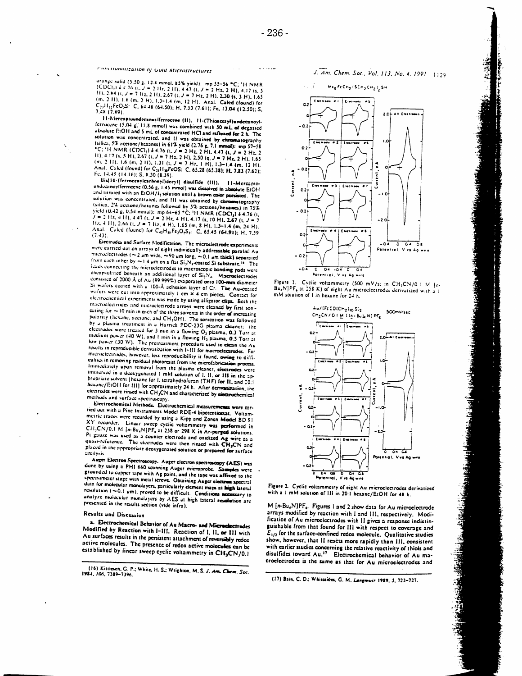$\omega$  is a similar .

## Paincromanzation of Gold Microstructures

orange solid (5.50 g, 12.8 mmol, 85% yield): mp 55–56 °C; <sup>1</sup>H NMR<br>(CDC)<sub>1</sub>)  $\phi$  4.76 (t, J = 2.Hz, 2.H), 4.47 (t, J = 2.Hz, 2.H), 4.17 (t, 5 11), 2.84 (t, J = 7 Hz, 2 H), 2.67 (t, J = 7 Hz, 2 H), 2.30 (s, 3 H), 1.65 (m. 2.11), 1.6 (m. 2.11), 1.3-1.4 (m. 12.11). Anal. Calcd (found) for C<sub>21</sub>H<sub>12</sub>FeO<sub>2</sub>S: C, 64.48 (64.50); H, 7.53 (7.61); Fe, 13.04 (12.50); S,  $7.4X(7.89)$ 

11-Mercaptoundecanoylferrocene (II), 11-(Thioacctyl)undecanoylferrocene (5.04 g. 11.8 mmol) was combined with 50 mL of degassed absolute FIOH and 5 mL of concentrated HCI and refluxed for 2 h. The solution was concentrated, and II was obtained by chromatography solution was concentrated, and 11 was obtained by extrematography<br>
(silica, 5% acctone/hexanes) in 61% yield (2.76 g, 7.1 mmol): mp 57-58<br>  $^{\circ}$ C; 14 NMR (CDCl<sub>3</sub>) à 4.76 (t,  $J = 2$  Hg, 2 H), 4.47 (t,  $J = 2$  Hg, 2<br>
11), Anal. Calcd (found) for C<sub>21</sub>H<sub>30</sub>FeOS: C, 65.28 (65.38); H, 7.83 (7.62); Fc. 14.45 (14.16); S. 8.30 (8.39).

Bis[10-(ferrncenvicarbonyl)decyl] disulfide (III). II-Mercapioundozinoylferroeene (0.56 g, 1.45 mmol) was dissolved in absolute EiOH and titrated with an EIOH712 solution until a brown color persisted. The solution was concentrated, and III was obtained by chromatography (silica, 2% acctione/hexands followed by 5% acctione/hexands) in 75%<br>yield  $(0.42 \text{ g}, 0.54 \text{ mmol})$ ; mp 64-65 °C; H NMR (CDCI<sub>3</sub>) 4 4.76 (t<sub>i</sub>  $J = 2.112, 4.11, 4.47$  (t,  $J = 2.112, 4.11, 4.17$  (k, 10.14), 2.67 (t, 10.14)<br>
14.2.4.1111, 2.66 (t,  $J = 7.112, 4.11$ ), 1.65 (m, 8.11), 1.3-1.4 (m, 24.11) Anal. Calcd (found) for C<sub>42</sub>H<sub>38</sub>Fe<sub>2</sub>O<sub>2</sub>S<sub>2</sub>: C, 65.45 (64.91); H, 7.59  $(7.43)$ 

Electrodes and Surface Modification. The microelectrode experiments were carried out on arrays of eight individually addressable parallel Au nuclearized set  $\sim$  2 um wide,  $\sim$  90 um long,  $\sim$  0.1 um thick) separated from each other by  $\sim$  1.4  $\mu$ m on a flat  $Si_3N_4$ -coated Si substrate.<sup>14</sup> The leads connecting the microelectrodes to macroscopic bonding pads were<br>energy ultited beneath an additional layer of Si<sub>3</sub>N<sub>1</sub>. Macroelectrodes consisted of 2000 Å of Au (99.999%) evaporated onto 100-mm diameter Si wafers couted with a 100-A adhesion layer of Cr. The Au-coated wafers were cut into approximately 1 cm x 4 cm pieces. Contact for electrochemical experiments was made by using alligator clips. Both the macroelectrodes and microelectrode arrays were cleaned by first soniexting for  $\sim$  10 min in each of the three solvents in the order of increasing<br>polarity (hexane, accione, and CH<sub>3</sub>OH). The sonication was followed by a plasma treatment in a Harrick PDC-23G plasma cleaner; the electrodes were treated for 3 min in a flowing O2 plasma, 0.3 Torr at medium power (40 W), and I min in a flowing H<sub>2</sub> plasma, 0.5 Torr at low power (30 W). The pretreatment procedure used to clean the Au results in reproductible derivatization with I-III for macroelectrodes. For microclectrodes, however, less reproducibility is found, owing to difficulties in removing residual photoresist from the microfabrication process. Immediately upon removal from the plasma cleaner, electrodes were immersed in a deoxygenated 1 mM solution of 1, 11, or 111 in the ap propriate solvent [hexane for I, tetrahydrofuran (THF) for II, and 20:1 hexane/EtOH for HII for approximately 24 h. After derivatization, the electrodes were rinsed with CH3CN and characterized by electrochemical methods and surface spectroscopy.

Electrochemical Methods. Electrochemical measurements were carried out with a Pine Instruments Model RDE-4 bipotentiostat. Voltammetric traces were recorded by using a Kipp and Zonen Model 8D 91 XY recorder. Linear sweep cyclic voltammetry was performed in CH<sub>2</sub>CN/0.1 M [mBu<sub>2</sub>N]PF<sub>6</sub> at 258 or 298 K in Ar-purped solutions. Pt gauze was used as a counter electrode and oxidized Ag wire as a quasi-reference. The electrodes were then rinsed with CH3CN and placed in the appropriate deoxygenated solution or prepared for surface analysis

Auger Electron Spectroscopy. Auger electron spectroscopy (AES) was<br>done by using a PH1 660 scanning Auger microprobe. Samples were grounded to copper tape with Ag paint, and the tape was affeced to the spectrometer stage with metal screws. Obtaining Auger electron spectral data for molecular monolayers, particularly element maps at high lateral resolution (~0.1 um), proved to be difficult. Conditions necessary to analyze molecular monolayers by AES at high lateral resolution are presented in the results section (vide infra).

#### **Results and Discussion**

a. Electrochemical Behavior of Au Macro- and Microelectrodes Modified by Renction with I-III. Reaction of I, II, or III with Au surfaces results in the persistent attachment of reversibly redox active molecules. The presence of redox active molecules can be established by linear sweep cyclic voltammetry in CH3CN/0.1

[16] Kittleson, G. P.; White, H. S.; Wrighton, M. S. J. Am. Chem. Soc.<br>1984, 106, 7389-7396.

J. Am. Chem. Soc., Vol. 113, No. 4, 1991 1129

道德之

法国通信法

**Randella** 







Figure 2. Cyclic voltammetry of eight Au microelectrodes derivatized with a 1 mM solution of 111 in 20:1 hexane/EIOH for 48 h.

M [n-Bu<sub>4</sub>N]PF<sub>4</sub>. Figures 1 and 2 show data for Au microelectrode arrays modified by reaction with I and III, respectively. Modification of Au microclectrodes with II gives a response indistinguishable from that found for III with respect to coverage and  $E_{1/2}$  for the surface-confined redox molecule. Qualitative studies show, however, that II reacts more rapidly than III, consistent with earlier studies concerning the relative reactivity of thiols and<br>disulfides toward Au.<sup>17</sup> Electrochemical behavior of Au macroelectrodes is the same as that for Au microelectrodes and

(17) Bain, C. D.; Whitesides, G. M. Langmuir 1929, 5, 723-727.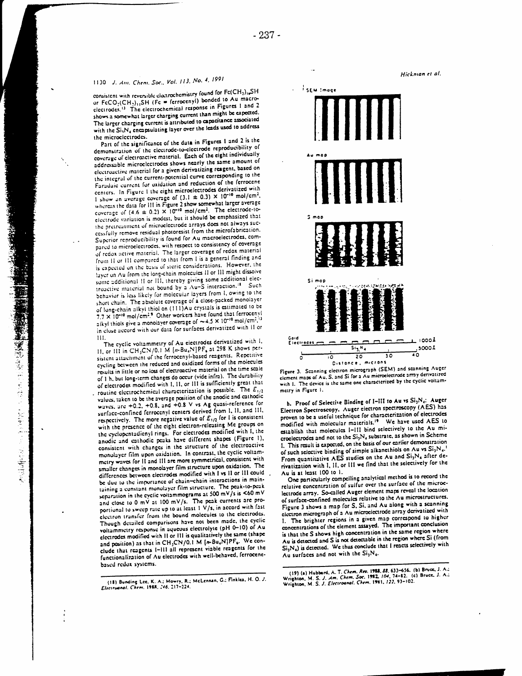# 1130 J. Ani. Chem. Soc., Vol. 113, No. 4, 1991

consistent with reversible electrochemistry found for Fe(CH<sub>2</sub>), SH or FcCO<sub>3</sub>(CH<sub>3)11</sub>SH (Fe = ferrocenyl) bonded to Au macroelectrodes.<sup>13</sup> The electrochemical response in Figures 1 and 2 shows a somewhat larger charging current than might be expected. The larger charging current is attributed to capacitance associated with the Si<sub>1</sub>N<sub>4</sub> encapsulating layer over the leads used to address the microclectrodes.

Part of the significance of the data in Figures 1 and 2 is the demonstration of the electrode-to-electrode reproducibility of coverage of electronetive material. Each of the eight individually addressable microelectrodes shows nearly the same amount of electroactive material for a given derivatizing reagent, based on the integral of the current-potential curve corresponding to the Faradaic current for oxidation and reduction of the ferrocene centers. In Figure 1 the eight microelectrodes derivatized with I show an average coverage of  $(3.1 \pm 0.3) \times 10^{-10}$  mol/cm<sup>2</sup>. whereas the data for III in Figure 2 show somewhat larger average<br>coverage of  $(4.6 \pm 0.2) \times 10^{-10}$  mol/cm<sup>2</sup>. The electrode-toelectrode variation is modest, but it should be emphasized that the pretreatment of microelectrode arrays does not always successfully remove residual photoresist from the microfabrication. Superior reproducibility is found for Au macroelectrodes, compared to microelectrodes, with respect to consistency of coverage of redox active material. The larger coverage of redox material from H or Ill compared to that from I is a general finding and is expected on the basis of steric considerations. However, the layer on Au from the long-chain molecules II or III might dissolve some additional H or III, thereby giving some additional electroactive material not bound by a Au-S interaction.<sup>18</sup> Such behavior is less likely for molecular layers from I, owing to the short chain. The absolute coverage of a close-packed monolayer of long-chain alkyl thiol on (111)Au crystals is estimated to be 7.7 x 10<sup>-10</sup> mol/cm<sup>2.9</sup> Other workers have found that ferroceny! aikyl thiols give a monolayer coverage of  $\sim 4.5 \times 10^{-10}$  mol/cm<sup>2</sup>.<sup>13</sup> in close accord with our data for surfaces derivatized with H or Ш

The cyclic voltammetry of Au electrodes derivatized with I, II, or III in CH<sub>3</sub>CN/0.1 M [n-Bu<sub>4</sub>N]PF<sub>e</sub> at 298 K shows persistent attachment of the ferrocenyl-based reagents. Repetitive cycling between the reduced and oxidized forms of the molecules results in little or no loss of electroactive material on the time scale of 1 h, but long-term changes do occur (vide infra). The durability of electrodes modified with I, II, or III is sufficiently great that , routine electrochemical characterization is possible. The  $E_{1/2}$ values, taken to be the average position of the anodic and cathodic waves, are +0.2, +0.8, and +0.8 V vs Ag quasi-reference for surface-confined ferrocenyl centers derived from I, II, and III, respectively. The more negative value of  $E_{1/2}$  for l is consistent with the presence of the eight electron-releasing Me groups on the cyclopentudienyl rings. For electrodes modified with I, the anodic and cathodic peaks have different shapes (Figure 1), consistent with changes in the structure of the electroactive monolayer film upon oxidation. In contrast, the cyclic voltammetry waves for H and III are more symmetrical, consistent with smaller changes in monolayer film structure upon oxidation. The differences between electrodes modified with I vs II or III could be due to the importance of chain-chain interactions in maintaining a constant monolayer film structure. The peak-to-peak separation in the cyclic voltammograms at 500 mV/s is  $<$ 60 mV and close to 0 mV at 100 mV/s. The peak currents are proportional to sweep rate up to at least 1 V/s, in accord with fast electron transfer from the bound molecules to the electrodes. Though detailed comparisons have not been made, the cyclic voltammetry response in aqueous electrolyte (pH 0-10) of Au electrodes modified with H or HI is qualitatively the same (shape and position) as that in CH<sub>3</sub>CN/0.1 M [n-Bu<sub>4</sub>N]PF<sub>6</sub>. We conclude that reagents 1-111 all represent viable reagents for the functionalization of Au electrodes with well-behaved, ferrocenebased redox systems.







b. Proof of Selective Binding of I-III to Au vs Si<sub>3</sub>N<sub>4</sub>: Auger Electron Spectroscopy. Auger electron spectroscopy (AES) has proven to be a useful technique for characterization of electrodes modified with molecular materials.<sup>19</sup> We have used AES to establish that molecules I-III bind selectively to the Au microelectrodes and not to the  $\mathrm{Si}_3\mathrm{N}_4$  substrate, as shown in Scheme 1. This result is expected, on the basis of our earlier demonstration of such selective binding of simple alkanethiols on Au vs Si<sub>3</sub>N<sub>4</sub>. From quantitative AES studies on the Au and Si<sub>3</sub>N<sub>4</sub> after derivatization with I, II, or III we find that the selectively for the Au is at least 100 to 1.

One particularly compelling analytical method is to record the relative concentration of sulfur over the surface of the microelectrode array. So-called Auger element maps reveal the location of surface-confined molecules relative to the Au microstructures. Figure 3 shows a map for S, Si, and Au along with a scanning electron micrograph of a Au microelectrode array derivatized with 1. The brighter regions in a given map correspond to higher concentrations of the element assayed. The important conclusion is that the S shows high concentration in the same region where Au is detected and S is not detectable in the region where  $Si$  (from  $Si_1N_d$ ) is detected. We thus conclude that I reacts selectively with Au surfaces and not with the Si<sub>1</sub>N<sub>4</sub>.

j.

<sup>(18)</sup> Bunding Lee, K. A.; Mowry, R.; McLennan, G.; Finklea, H. O. J.<br>Eleciruanal. Chem. 1988, 246. 217-224.

<sup>(19) (</sup>a) Hubbard, A. T. Chem. Rev. 1988, 88, 633–656. (b) Bruce, J. A.;<br>Wrighton, M. S. J. Am. Chem. Soc. 1982, 104, 74–82. (c) Bruce, J. A.;<br>Wrighton, M. S. J. Electroanal. Chem. 1981, 122, 93–102.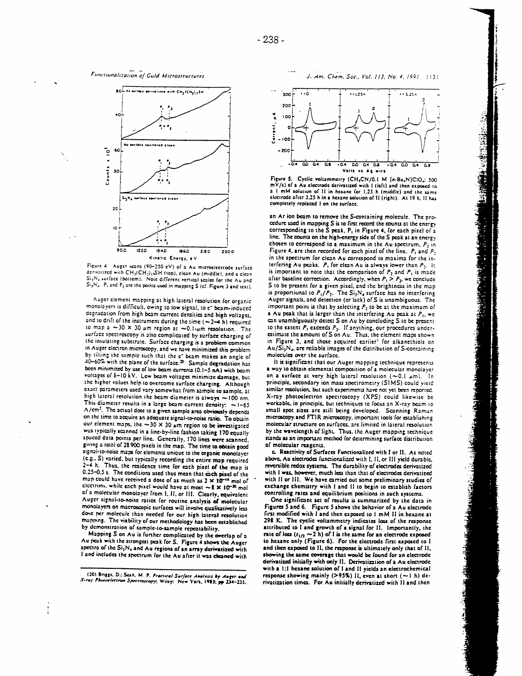



Figure 4. Auger scans (90-250 eV) of a Au microelectrode surface derivatized with CH<sub>3</sub>(CH<sub>3</sub>)<sub>1</sub>,SH (top), clean Au (middle), and a clean Si<sub>1</sub>N<sub>e</sub> surface (bottom). Note different vertical scales for the Au and  $\overline{S_{12}N_{4}}$ . P, and P<sub>2</sub> are the points used in mapping S (cf. Figure 3 and text).

Auger element mapping at high lateral resolution for organic monolayers is difficult, owing to low signal, to e" beam-induced degradation from high beam current densities and high voltages, and to drift of the instrument during the time  $(-2-4)$ h) required to map a  $\sim$ 30 × 30  $\mu$ m region at  $\sim$ 0.1- $\mu$ m resolution. The surface spectroscopy is also complicated by surface charging of the insulating substrate. Surface charging is a problem common in Auger electron microscopy, and we have minimized this problem by tilting the sample such that the e" beam makes an angle of 40-60% with the plane of the surface.<sup>29</sup> Sample degradation has been minimized by use of low beam currents (0.1-5 nA) with beam voltages of 8-10 kV. Low beam voltages minimize damage, but the higher values help to overcome surface charging. Although exact parameters used vary somewhat from sample to sample, at high lateral resolution the beam diameter is always  $\sim$  100 nm. This diameter results in a large beam current density:  $\sim$  1-65 A/cm<sup>2</sup>. The actual dose to a given sample area obviously depends on the time to acquire an adequate signal-to-noise ratio. To obtain our element maps, the  $\sim$ 30 × 30  $\mu$ m region to be investigated was typically scanned in a line-by-line fashion taking 170 equally spaced data points per line. Generally, 170 lines were scanned. giving a total of 28 900 pixels in the map. The time to obtain good signal-to-noise maps for elements unique to the organic monolayer (e.g., S) varied, but typically recording the entire map required 2-4 h. Thus, the residence time for each pixel of the map is 0.25-0.5 s. The conditions used thus mean that each pixel of the map could have received a dose of as much as 2 x 10<sup>-14</sup> mol of electrons, while each pixel would have at most  $\sim$  8  $\times$  10<sup>-20</sup> mol of a molecular monolayer from I, II, or III. Clearly, equivalent Auger signal-to-noise ratios for routine analysis of molecular monolayers on macroscopic surfaces will involve qualitatively less dose per molecule than needed for our high lateral resolution mapping. The viability of our methodology has been established by demonstration of sample-to-sample repeatability.

Mapping S on Au is further complicated by the overlap of a Au peak with the strongest peak for S. Figure 4 shows the Auger spectra of the Si<sub>3</sub>N<sub>4</sub> and Au regions of an array derivatized with I and includes the spectrum for the Au after it was cleaned with

(20) Briggs, D.; Seah, M. P. Practical Surface Analysis by Auger and<br>X-ruy Photoelectron Spectroscopy, Wiley: New York, 1983; pp 234-235.



Figure 5. Cyclic voltammetry (CH<sub>2</sub>CN/0.1 M [n-Bu<sub>4</sub>N]CIO4: 500  $mV/s$ ) of a Au electrode derivatized with I (left) and then exposed to a 1 mM solution of 11 in hexane for 1.25 h (middle) and the same electrode after 3.25 h in a hexane solution of II (right). At 19 h, II has completely replaced I on the surface.

 $\frac{1}{2}$ 

an Ar ion beam to remove the S-containing molecule. The procedure used in mapping S is to first record the counts at the energy corresponding to the S peak, P<sub>1</sub> in Figure 4, for each pixel of a line. The counts on the high-energy side of the S peak at an energy chosen to correspond to a maximum in the Au spectrum.  $P_2$  in Figure 4, are then recorded for each pixel of the line.  $P_1$  and  $P_2$ in the spectrum for clean Au correspond to maxima for the interfering Au peaks.  $P_1$  for clean Au is always lower than  $P_2$ . It is important to note that the comparison of  $P_2$  and  $P_1$  is made<br>after baseline correction. Accordingly, when  $P_1 > P_2$ , we conclude S to be present for a given pixel, and the brightness in the map is proportional to  $P_1/P_2$ . The  $Si_3N_4$  surface has no interfering Auger signals, and detection (or lack) of S is unambiguous. The important point is that by selecting  $P_2$  to be at the maximum of a Au peak that is larger than the interfering Au peak at  $P_1$ , we can unambiguously detect S on Au by concluding S to be present to the extent  $P_1$  exceeds  $P_2$ . If anything, our procedures underestimate the amount of  $S$  on  $Au$ . Thus, the element maps shown in Figure 3, and those acquired earlier<sup>1</sup> for alkanethiols on  $Au/Si<sub>1</sub>N<sub>4</sub>$ , are reliable images of the distribution of S-containing molecules over the surface.

It is significant that our Auger mapping technique represents a way to obtain elemental composition of a molecular monolayer on a surface at very high lateral resolution ( $\sim$ 0.1  $\mu$ m). In principle, secondary ion mass spectrometry (SIMS) could vield similar resolution, but such experiments have not yet been reported. X-ray photoelectron spectroscopy (XPS) could likewise be workable, in principle, but techniques to focus an X-ray beam to small spot sizes are still being developed. Scanning Raman microscopy and FTIR microscopy, important tools for establishing molecular structure on surfaces, are limited in lateral resolution by the wavelength of light. Thus, the Auger mapping technique stands as an important method for determining surface distribution of molecular reagents.

c. Reactivity of Surfaces Functionalized with I or II. As noted above, Au electrodes functionalized with I, II, or III yield durable, reversible redox systems. The durability of electrodes derivatized with I was, however, much less than that of electrodes derivatized with II or III. We have carried out some preliminary studies of exchange chemistry with I and II to begin to establish factors controlling rates and equilibrium positions in such systems.

One significant set of results is summarized by the data in Figures 5 and 6. Figure 5 shows the behavior of a Au electrode first modified with I and then exposed to 1 mM II in hexane at 298 K. The cyclic voltammetry indicates loss of the response attributed to I and growth of a signal for II. Importantly, the rate of loss  $(t_{1/2} \sim 2 \text{ h})$  of I is the same for an electrode exposed to hexane only (Figure 6). For the electrode first exposed to I and then exposed to II, the response is ultimately only that of II, showing the same coverage that would be found for an electrode derivatized initially with only II. Derivatization of a Au electrode with a 1:1 hexane solution of I and II yields an electrochemical response showing mainly (>95%) II, even at short ( $\sim$ 1 h) derivatization times. For Au initially derivatized with II and then